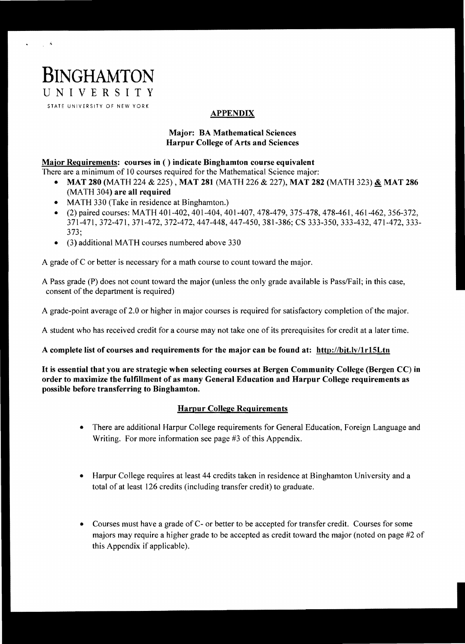# **BINGHAMTON**  UNIVERSITY

 $\gamma_{\rm L}$  ,  $\delta$ 

 $\mathbf{r}$ 

STATE UNIVERSITY OF NEW YORK

### APPENDIX

#### Major: BA Mathematical Sciences Harpur College of Arts and Sciences

## Major Requirements: courses in () indicate Binghamton course equivalent

- There are a minimum of 10 courses required for the Mathematical Science major:
	- MAT 280 (MATH 224 & 225), MAT 281 (MATH 226 & 227), MAT 282 (MATH 323) & MAT 286 (MATH 304) are all required
	- MATH 330 (Take in residence at Binghamton.)
	- (2) paired courses: MATH 401-402, 401-404, 401-407, 478-479, 375-478, 478-461, 461-462, 356-372, 371-471,372-471,371-472,372-472,447-448,447-450, 381-386; CS 333-350, 333-432, 471-472, 333 373;
	- (3) additional MATH courses numbered above 330

A grade of C or better is necessary for a math course to count toward the major.

A Pass grade (P) does not count toward the major (unless the only grade available is PasslFail; in this case, consent of the department is required)

A grade-point average of 2.0 or higher in major courses is required for satisfactory completion of the major.

A student who has received credit for a course may not take one of its prerequisites for credit at a later time.

#### A complete list of courses and requirements for the major can be found at: http://bit.lv/lrI5Ltn

It is essential that you are strategic when selecting courses at Bergen Community College (Bergen CC) in order to maximize the fulfillment of as many General Education and Harpur College requirements as possible before transferring to Binghamton.

#### Harpur College Requirements

- There are additional Harpur College requirements for General Education, Foreign Language and Writing. For more information see page #3 of this Appendix.
- Harpur College requires at least 44 credits taken in residence at Binghamton University and a total of at least 126 credits (including transfer credit) to graduate.
- Courses must have a grade of C- or better to be accepted for transfer credit. Courses for some majors may require a higher grade to be accepted as credit toward the major (noted on page #2 of this Appendix if applicable).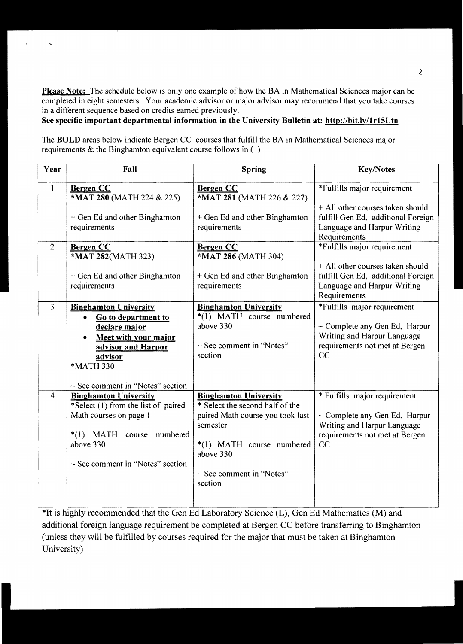Please Note: The schedule below is only one example of how the BA in Mathematical Sciences major can be completed in eight semesters. Your academic advisor or major advisor may recommend that you take courses in a different sequence based on credits earned previously.

See specific important departmental information in the University Bulletin at: http://bit.ly/1r15Ltn

 $\ddot{\phantom{1}}$ 

The BOLD areas below indicate Bergen CC courses that fulfill the BA in Mathematical Sciences major requirements  $\&$  the Binghamton equivalent course follows in ( $\ )$ 

| Year           | Fall                                                                                                                                                                                                          | <b>Spring</b>                                                                                                                                                                                         | <b>Key/Notes</b>                                                                                                                                     |
|----------------|---------------------------------------------------------------------------------------------------------------------------------------------------------------------------------------------------------------|-------------------------------------------------------------------------------------------------------------------------------------------------------------------------------------------------------|------------------------------------------------------------------------------------------------------------------------------------------------------|
| $\mathbf{I}$   | <b>Bergen CC</b><br>*MAT 280 (MATH 224 & 225)                                                                                                                                                                 | <b>Bergen CC</b><br>*MAT 281 (MATH 226 & 227)                                                                                                                                                         | *Fulfills major requirement<br>+ All other courses taken should                                                                                      |
|                | + Gen Ed and other Binghamton<br>requirements                                                                                                                                                                 | + Gen Ed and other Binghamton<br>requirements                                                                                                                                                         | fulfill Gen Ed, additional Foreign<br>Language and Harpur Writing<br>Requirements                                                                    |
| $\overline{2}$ | <b>Bergen CC</b><br>*MAT 282(MATH 323)<br>+ Gen Ed and other Binghamton<br>requirements                                                                                                                       | <b>Bergen CC</b><br>*MAT 286 (MATH 304)<br>+ Gen Ed and other Binghamton<br>requirements                                                                                                              | *Fulfills major requirement<br>+ All other courses taken should<br>fulfill Gen Ed, additional Foreign<br>Language and Harpur Writing<br>Requirements |
| $\overline{3}$ | <b>Binghamton University</b><br>Go to department to<br>$\bullet$<br>declare major<br>Meet with your major<br>$\bullet$<br>advisor and Harpur<br>advisor<br>*MATH 330<br>$\sim$ See comment in "Notes" section | <b>Binghamton University</b><br>*(1) MATH course numbered<br>above 330<br>$\sim$ See comment in "Notes"<br>section                                                                                    | *Fulfills major requirement<br>$\sim$ Complete any Gen Ed, Harpur<br>Writing and Harpur Language<br>requirements not met at Bergen<br>CC             |
| $\overline{4}$ | <b>Binghamton University</b><br>*Select (1) from the list of paired<br>Math courses on page 1<br>$*(1)$ MATH course<br>numbered<br>above 330<br>$\sim$ See comment in "Notes" section                         | <b>Binghamton University</b><br>* Select the second half of the<br>paired Math course you took last<br>semester<br>*(1) MATH course numbered<br>above 330<br>$\sim$ See comment in "Notes"<br>section | * Fulfills major requirement<br>$\sim$ Complete any Gen Ed, Harpur<br>Writing and Harpur Language<br>requirements not met at Bergen<br>CC            |

\*It IS highly recommended that the Gen Ed Laboratory Science (L), Gen Ed Mathematics (M) and additional foreign language requirement be completed at Bergen CC before transferring to Binghamton (unless they will be fulfilled by courses required for the major that must be taken at Binghamton University)